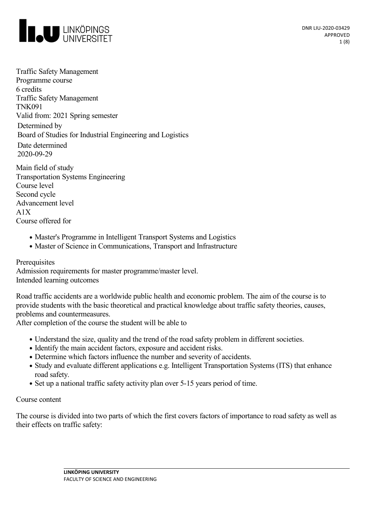

Traffic Safety Management Programme course 6 credits Traffic Safety Management TNK091 Valid from: 2021 Spring semester Determined by Board of Studies for Industrial Engineering and Logistics Date determined 2020-09-29

Main field of study Transportation Systems Engineering Course level Second cycle Advancement level  $A1X$ Course offered for

- Master's Programme in Intelligent Transport Systems and Logistics
- Master of Science in Communications, Transport and Infrastructure

Prerequisites Admission requirements for master programme/master level. Intended learning outcomes

Road traffic accidents are a worldwide public health and economic problem. The aim of the course is to provide students with the basic theoretical and practical knowledge about traffic safety theories, causes, problems and countermeasures.

After completion of the course the student will be able to

- Understand the size, quality and the trend of the road safety problem in different societies.
- Identify the main accident factors, exposure and accident risks.
- Determine which factors influence the number and severity of accidents.
- Study and evaluate different applications e.g. Intelligent Transportation Systems (ITS) that enhance road safety.
- Set up a national traffic safety activity plan over 5-15 years period of time.

#### Course content

The course is divided into two parts of which the first covers factors of importance to road safety as well as their effects on traffic safety: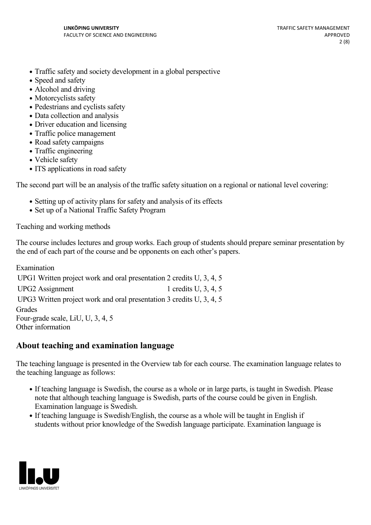- Traffic safety and society development in a global perspective
- Speed and safety
- Alcohol and driving
- Motorcyclists safety
- Pedestrians and cyclists safety
- Data collection and analysis
- Driver education and licensing
- Traffic police management
- Road safety campaigns
- Traffic engineering
- Vehicle safety
- ITS applications in road safety

The second part will be an analysis of the traffic safety situation on a regional or national level covering:

- Setting up of activity plans for safety and analysis of its effects
- Set up of a National Traffic Safety Program

Teaching and working methods

The course includes lectures and group works. Each group of students should prepare seminar presentation by the end of each part of the course and be opponents on each other's papers.

Examination UPG1 Written project work and oral presentation 2 credits U, 3, 4, 5 UPG2 Assignment 1 credits U, 3, 4, 5 UPG3 Written project work and oral presentation 3 credits U, 3, 4, 5 **Grades** Four-grade scale, LiU, U, 3, 4, 5 Other information

### **About teaching and examination language**

The teaching language is presented in the Overview tab for each course. The examination language relates to the teaching language as follows:

- If teaching language is Swedish, the course as a whole or in large parts, is taught in Swedish. Please note that although teaching language is Swedish, parts of the course could be given in English. Examination language is Swedish.
- If teaching language is Swedish/English, the course as a whole will be taught in English if students without prior knowledge of the Swedish language participate. Examination language is

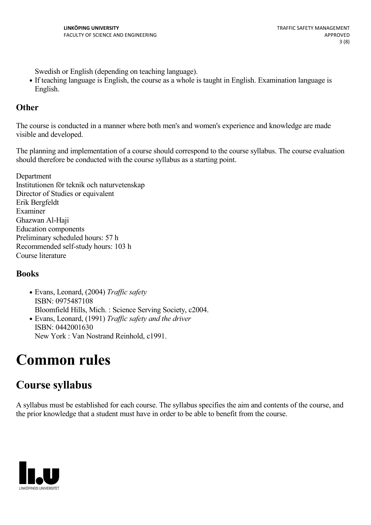Swedish or English (depending on teaching language).

If teaching language is English, the course as a whole is taught in English. Examination language is English.

### **Other**

The course is conducted in a manner where both men's and women's experience and knowledge are made visible and developed.

The planning and implementation of a course should correspond to the course syllabus. The course evaluation should therefore be conducted with the course syllabus as a starting point.

Department Institutionen för teknik och naturvetenskap Director of Studies or equivalent Erik Bergfeldt Examiner Ghazwan Al-Haji Education components Preliminary scheduled hours: 57 h Recommended self-study hours: 103 h Course literature

### **Books**

- Evans, Leonard, (2004) *Traffic safety* ISBN: 0975487108 Bloomfield Hills, Mich. : Science Serving Society, c2004. • Evans, Leonard, (1991) *Traffic safety and the driver*
- ISBN: 0442001630 New York : Van Nostrand Reinhold, c1991.

# **Common rules**

# **Course syllabus**

A syllabus must be established for each course. The syllabus specifies the aim and contents of the course, and the prior knowledge that a student must have in order to be able to benefit from the course.

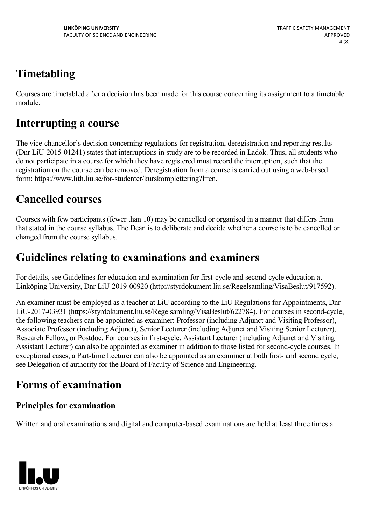# **Timetabling**

Courses are timetabled after a decision has been made for this course concerning its assignment to a timetable module.

# **Interrupting a course**

The vice-chancellor's decision concerning regulations for registration, deregistration and reporting results (Dnr LiU-2015-01241) states that interruptions in study are to be recorded in Ladok. Thus, all students who do not participate in a course for which they have registered must record the interruption, such that the registration on the course can be removed. Deregistration from a course is carried out using a web-based form: https://www.lith.liu.se/for-studenter/kurskomplettering?l=en.

# **Cancelled courses**

Courses with few participants (fewer than 10) may be cancelled or organised in a manner that differs from that stated in the course syllabus. The Dean is to deliberate and decide whether a course is to be cancelled or changed from the course syllabus.

# **Guidelines relating to examinations and examiners**

For details, see Guidelines for education and examination for first-cycle and second-cycle education at Linköping University, Dnr LiU-2019-00920 (http://styrdokument.liu.se/Regelsamling/VisaBeslut/917592).

An examiner must be employed as a teacher at LiU according to the LiU Regulations for Appointments, Dnr LiU-2017-03931 (https://styrdokument.liu.se/Regelsamling/VisaBeslut/622784). For courses in second-cycle, the following teachers can be appointed as examiner: Professor (including Adjunct and Visiting Professor), Associate Professor (including Adjunct), Senior Lecturer (including Adjunct and Visiting Senior Lecturer), Research Fellow, or Postdoc. For courses in first-cycle, Assistant Lecturer (including Adjunct and Visiting Assistant Lecturer) can also be appointed as examiner in addition to those listed for second-cycle courses. In exceptional cases, a Part-time Lecturer can also be appointed as an examiner at both first- and second cycle, see Delegation of authority for the Board of Faculty of Science and Engineering.

# **Forms of examination**

## **Principles for examination**

Written and oral examinations and digital and computer-based examinations are held at least three times a

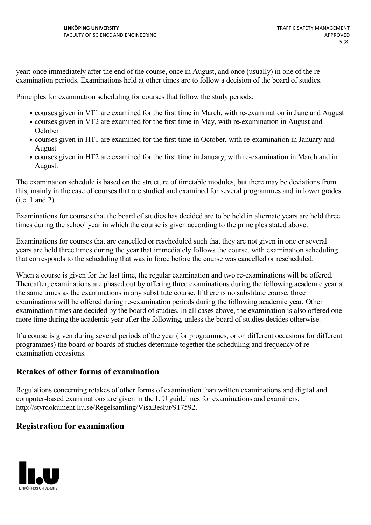year: once immediately after the end of the course, once in August, and once (usually) in one of the re examination periods. Examinations held at other times are to follow a decision of the board of studies.

Principles for examination scheduling for courses that follow the study periods:

- courses given in VT1 are examined for the first time in March, with re-examination in June and August
- courses given in VT2 are examined for the first time in May, with re-examination in August and **October**
- courses given in HT1 are examined for the first time in October, with re-examination in January and August
- courses given in HT2 are examined for the first time in January, with re-examination in March and in August.

The examination schedule is based on the structure of timetable modules, but there may be deviations from this, mainly in the case of courses that are studied and examined for several programmes and in lower grades (i.e. 1 and 2).

Examinations for courses that the board of studies has decided are to be held in alternate years are held three times during the school year in which the course is given according to the principles stated above.

Examinations for courses that are cancelled or rescheduled such that they are not given in one or several years are held three times during the year that immediately follows the course, with examination scheduling that corresponds to the scheduling that was in force before the course was cancelled or rescheduled.

When a course is given for the last time, the regular examination and two re-examinations will be offered. Thereafter, examinations are phased out by offering three examinations during the following academic year at the same times as the examinations in any substitute course. If there is no substitute course, three examinations will be offered during re-examination periods during the following academic year. Other examination times are decided by the board of studies. In all cases above, the examination is also offered one more time during the academic year after the following, unless the board of studies decides otherwise.

If a course is given during several periods of the year (for programmes, or on different occasions for different programmes) the board or boards of studies determine together the scheduling and frequency of re examination occasions.

### **Retakes of other forms of examination**

Regulations concerning retakes of other forms of examination than written examinations and digital and computer-based examinations are given in the LiU guidelines for examinations and examiners, http://styrdokument.liu.se/Regelsamling/VisaBeslut/917592.

### **Registration for examination**

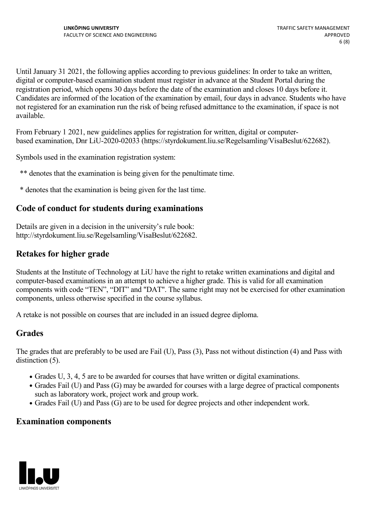Until January 31 2021, the following applies according to previous guidelines: In order to take an written, digital or computer-based examination student must register in advance at the Student Portal during the registration period, which opens 30 days before the date of the examination and closes 10 days before it. Candidates are informed of the location of the examination by email, four days in advance. Students who have not registered for an examination run the risk of being refused admittance to the examination, if space is not available.

From February 1 2021, new guidelines applies for registration for written, digital or computer based examination, Dnr LiU-2020-02033 (https://styrdokument.liu.se/Regelsamling/VisaBeslut/622682).

Symbols used in the examination registration system:

- \*\* denotes that the examination is being given for the penultimate time.
- \* denotes that the examination is being given for the last time.

### **Code of conduct for students during examinations**

Details are given in a decision in the university's rule book: http://styrdokument.liu.se/Regelsamling/VisaBeslut/622682.

### **Retakes for higher grade**

Students at the Institute of Technology at LiU have the right to retake written examinations and digital and computer-based examinations in an attempt to achieve a higher grade. This is valid for all examination components with code "TEN", "DIT" and "DAT". The same right may not be exercised for other examination components, unless otherwise specified in the course syllabus.

A retake is not possible on courses that are included in an issued degree diploma.

### **Grades**

The grades that are preferably to be used are Fail (U), Pass (3), Pass not without distinction (4) and Pass with distinction  $(5)$ .

- Grades U, 3, 4, 5 are to be awarded for courses that have written or digital examinations.
- Grades Fail (U) and Pass (G) may be awarded for courses with a large degree of practical components such as laboratory work, project work and group work.
- Grades Fail (U) and Pass (G) are to be used for degree projects and other independent work.

#### **Examination components**

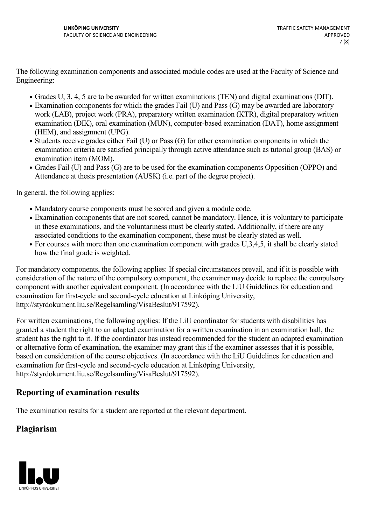The following examination components and associated module codes are used at the Faculty of Science and Engineering:

- Grades U, 3, 4, 5 are to be awarded for written examinations (TEN) and digital examinations (DIT).
- Examination components for which the grades Fail (U) and Pass (G) may be awarded are laboratory work (LAB), project work (PRA), preparatory written examination (KTR), digital preparatory written examination (DIK), oral examination (MUN), computer-based examination (DAT), home assignment (HEM), and assignment (UPG).
- Students receive grades either Fail (U) or Pass (G) for other examination components in which the examination criteria are satisfied principally through active attendance such as tutorial group (BAS) or examination item (MOM).
- Grades Fail (U) and Pass (G) are to be used for the examination components Opposition (OPPO) and Attendance at thesis presentation (AUSK) (i.e. part of the degree project).

In general, the following applies:

- Mandatory course components must be scored and given a module code.
- Examination components that are not scored, cannot be mandatory. Hence, it is voluntary to participate in these examinations, and the voluntariness must be clearly stated. Additionally, if there are any associated conditions to the examination component, these must be clearly stated as well.
- For courses with more than one examination component with grades U,3,4,5, it shall be clearly stated how the final grade is weighted.

For mandatory components, the following applies: If special circumstances prevail, and if it is possible with consideration of the nature of the compulsory component, the examiner may decide to replace the compulsory component with another equivalent component. (In accordance with the LiU Guidelines for education and examination for first-cycle and second-cycle education at Linköping University, http://styrdokument.liu.se/Regelsamling/VisaBeslut/917592).

For written examinations, the following applies: If the LiU coordinator for students with disabilities has granted a student the right to an adapted examination for a written examination in an examination hall, the student has the right to it. If the coordinator has instead recommended for the student an adapted examination or alternative form of examination, the examiner may grant this if the examiner assesses that it is possible, based on consideration of the course objectives. (In accordance with the LiU Guidelines for education and examination for first-cycle and second-cycle education at Linköping University, http://styrdokument.liu.se/Regelsamling/VisaBeslut/917592).

### **Reporting of examination results**

The examination results for a student are reported at the relevant department.

### **Plagiarism**